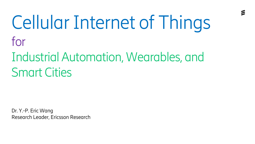# Cellular Internet of Things for

## Industrial Automation, Wearables, and Smart Cities

Dr. Y.-P. Eric Wang Research Leader, Ericsson Research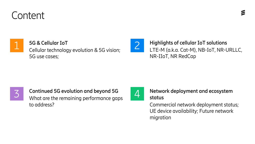### **Content**



#### **5G & Cellular IoT**

Cellular technology evolution & 5G vision; 5G use cases;





**Continued 5G evolution and beyond 5G** What are the remaining performance gaps to address?



#### **Network deployment and ecosystem status**

Commercial network deployment status; UE device availability; Future network migration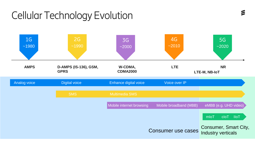### Cellular Technology Evolution

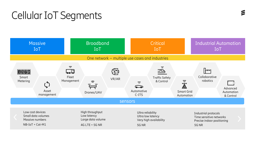### Cellular IoT Segments

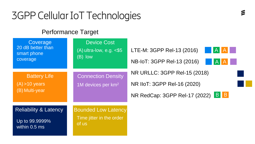### 3GPP Cellular IoT Technologies

#### Performance Target

| Coverage<br>20 dB better than<br>smart phone<br>coverage            | <b>Device Cost</b><br>$(A)$ ultra-low, e.g. $<$ \$5<br>(B) low  | LTE-M: 3GPP Rel-13 (2016)<br>$A$ $A$<br>NB-IoT: 3GPP Rel-13 (2016)<br>AIA                        |
|---------------------------------------------------------------------|-----------------------------------------------------------------|--------------------------------------------------------------------------------------------------|
| <b>Battery Life</b><br>$(A)$ >10 years<br>(B) Multi-year            | <b>Connection Density</b><br>1M devices per $km^2$              | NR URLLC: 3GPP Rel-15 (2018)<br>NR IIoT: 3GPP Rel-16 (2020)<br>NR RedCap: 3GPP Rel-17 (2022) B B |
| <b>Reliability &amp; Latency</b><br>Up to 99.9999%<br>within 0.5 ms | <b>Bounded Low Latency</b><br>Time jitter in the order<br>of us |                                                                                                  |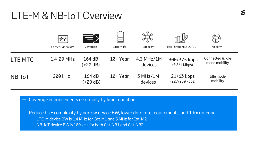### LTE-M & NB-IoT Overview

|         | ⊸∧শত<br><b>Carrier Bandwidth</b> | $\ket{\equiv}$<br>Coverage | ككم<br><b>Battery life</b> | مكو<br>$\mathcal{O}_\mathcal{S}$<br>Capacity | $\mathbb{Z}$<br>Peak Throughput DL/UL | المعلم من<br>المعلم<br>Mobility   |
|---------|----------------------------------|----------------------------|----------------------------|----------------------------------------------|---------------------------------------|-----------------------------------|
| LTE MTC | 1.4-20 MHz                       | 164dB<br>$(+20 dB)$        | $10+$ Year                 | $4.3$ MHz/1M<br>devices                      | 300/375 kbps<br>$(0.8/1$ Mbps)        | Connected & idle<br>mode mobility |
| NB-IoT  | 200 kHz                          | 164dB<br>(+20 dB)          | $10+$ Year                 | 3 MHz/1M<br>devices                          | $21/63$ kbps<br>(227/250 kbps)        | Idle mode<br>mobility             |

- Coverage enhancements essentially by time repetition
- Reduced UE complexity by narrow device BW, lower data rate requirements, and 1 Rx antenna
	- LTE-M device BW is 1.4 MHz for Cat-M1 and 5 MHz for Cat-M2.
	- NB-IoT device BW is 180 kHz for both Cat-NB1 and Cat-NB2.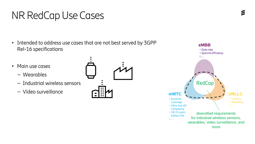### NR RedCapUse Cases

- Intended to address use cases that are not best served by 3GPP Rel-16 specifications
- Main use cases
	- Wearables
	- Industrial wireless sensors
	- Video surveillance



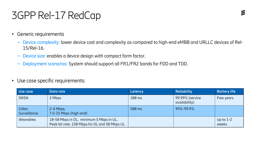### 3GPP Rel-17 RedCap

- Generic requirements
	- Device complexity: lower device cost and complexity as compared to high-end eMBB and URLLC devices of Rel-15/Rel-16.
	- Device size: enables a device design with compact form factor.
	- Deployment scenarios: System should support all FR1/FR2 bands for FDD and TDD.
- Use case specific requirements:

| Use case              | Data rate                                                                                | Latency | <b>Reliability</b>               | <b>Battery life</b>  |
|-----------------------|------------------------------------------------------------------------------------------|---------|----------------------------------|----------------------|
| <b>IWSN</b>           | 2 Mbps                                                                                   | 100 ms  | 99.99% (service<br>availability) | Few years            |
| Video<br>Surveillance | $2-4$ Mbps,<br>7.5-25 Mbps (high-end)                                                    | 500 ms  | 99%-99.9%                        |                      |
| <b>Wearables</b>      | 10-50 Mbps in DL, minimum 5 Mbps in UL.<br>Peak bit rate: 150 Mbps for DL and 50 Mbps UL |         |                                  | Up to $1-2$<br>weeks |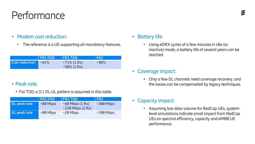### Performance

- Modem cost reduction:
	- The reference is a UE supporting all mandatory features.

|                | FR1FDD FR1TDD |                                        | $\mathsf{I}$ FR2 $\mathsf{I}$ |
|----------------|---------------|----------------------------------------|-------------------------------|
| Cost reduction | $.~105\%$     | $\sim$ 71% (1 Rx)<br>$\sim$ 58% (2 Rx) | $~148\%$                      |

#### • Peak rate:

• For TDD, a 3:1 DL:UL pattern is assumed in this table.

|              | <b>FR1FDD</b> | <b>FR1 TDD</b>                                  | <b>IFR2</b>     |
|--------------|---------------|-------------------------------------------------|-----------------|
| DL peak rate | $~80$ Mbps    | $\sim$ 60 Mbps (1 Rx)<br>$\sim$ 120 Mbps (2 Rx) | $\sim$ 300 Mbps |
| UL peak rate | $~80$ Mbps    | $\sim$ 20 Mbps                                  | $\sim$ 100 Mbps |

#### **Battery life:**

• Using eDRX cycles of a few minutes in idle (or inactive) mode, a battery life of several years can be reached.

#### Coverage impact:

• Only a few DL channels need coverage recovery, and the losses can be compensated by legacy techniques

#### Capacity impact:

• Assuming low data volume for RedCap UEs, systemlevel simulations indicate small impact from RedCap UEs on spectral efficiency, capacity and eMBB UE performance.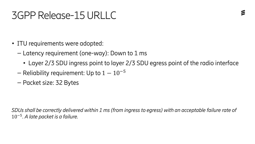### 3GPP Release-15 URLLC

- ITU requirements were adopted:
	- Latency requirement (one-way): Down to 1 ms
		- Layer 2/3 SDU ingress point to layer 2/3 SDU egress point of the radio interface
	- Reliability requirement: Up to  $1-10^{-5}$
	- Packet size: 32 Bytes

*SDUs shall be correctly delivered within 1 ms (from ingress to egress) with an acceptable failure rate of*  10−5 *. A late packet is a failure.*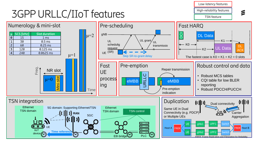

### 3GPP URLLC/IIoT features

Low-latency features High-reliability features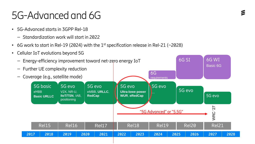### 5G-Advanced and 6G

- 5G-Advanced starts in 3GPP Rel-18
	- Standardization work will start in 2022
- 6G work to start in Rel-19 (2024) with the 1<sup>st</sup> specification release in Rel-21 (~2028)
- Cellular IoT evolutions beyond 5G

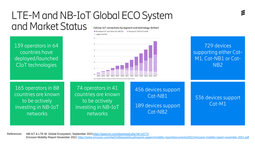#### LTE-M and NB-IoT Global ECO System and Market Status Cellular IoT connections by segment and technology (billion) ■ Broadband IoT and Critical IoT (4G/5G) ■ Massive IoT (NB-IoT/Cat-M)

 $\blacksquare$  Legacy (2G/3G)

139 operators in 64 countries have deployed/launched CIoT technologies



729 devices supporting either Cat-M1, Cat-NB1 or Cat-NB2

165 operators in 80 countries are known to be actively investing in NB-IoT networks

74 operators in 41 countries are known to be actively investing in NB-IoT networks

456 devices support Cat-NB1 109 devices support Cat-NB2

#### 536 devices support Cat-M1

References: NB-IoT & LTE-M: Global Ecosystem, September 202[1https://gsacom.com/download.php?id=10774](https://gsacom.com/download.php?id=10774) Ericsson Mobility Report November 2021 <https://www.ericsson.com/4ad7e9/assets/local/reports-papers/mobility-report/documents/2021/ericsson-mobility-report-november-2021.pdf>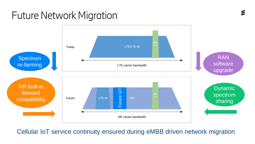### Future Network Migration



Cellular IoT service continuity ensured during eMBB driven network migration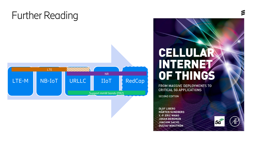### Further Reading



### CELLULAR INTERNET OF THINGS

FROM MASSIVE DEPLOYMENTS TO **CRITICAL 5G APPLICATIONS** 

**SECOND EDITION** 

**OLOF LIBERG MÅRTEN SUNDBERG** Y.-P. ERIC WANG JOHAN BERGMAN JOACHIM SACHS **GUSTAV WIKSTRÖM**